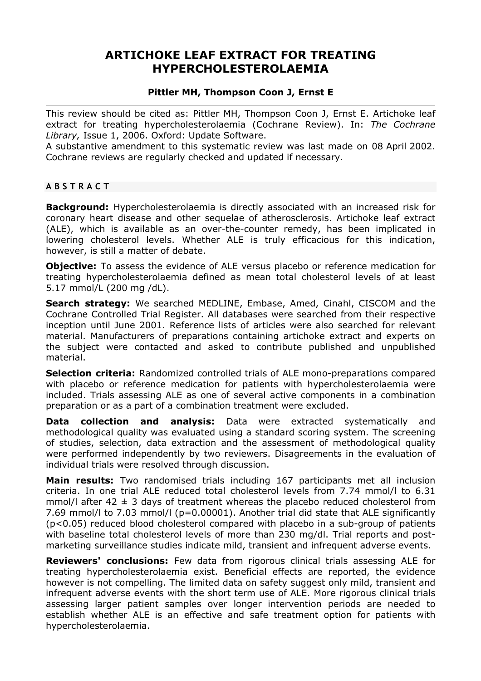# **ARTICHOKE LEAF EXTRACT FOR TREATING HYPERCHOLESTEROLAEMIA**

## **Pittler MH, Thompson Coon J, Ernst E**

This review should be cited as: Pittler MH, Thompson Coon J, Ernst E. Artichoke leaf extract for treating hypercholesterolaemia (Cochrane Review). In: *The Cochrane Library,* Issue 1, 2006. Oxford: Update Software.

A substantive amendment to this systematic review was last made on 08 April 2002. Cochrane reviews are regularly checked and updated if necessary.

## **ABSTRACT**

**Background:** Hypercholesterolaemia is directly associated with an increased risk for coronary heart disease and other sequelae of atherosclerosis. Artichoke leaf extract (ALE), which is available as an over-the-counter remedy, has been implicated in lowering cholesterol levels. Whether ALE is truly efficacious for this indication, however, is still a matter of debate.

**Objective:** To assess the evidence of ALE versus placebo or reference medication for treating hypercholesterolaemia defined as mean total cholesterol levels of at least 5.17 mmol/L (200 mg /dL).

**Search strategy:** We searched MEDLINE, Embase, Amed, Cinahl, CISCOM and the Cochrane Controlled Trial Register. All databases were searched from their respective inception until June 2001. Reference lists of articles were also searched for relevant material. Manufacturers of preparations containing artichoke extract and experts on the subject were contacted and asked to contribute published and unpublished material.

**Selection criteria:** Randomized controlled trials of ALE mono-preparations compared with placebo or reference medication for patients with hypercholesterolaemia were included. Trials assessing ALE as one of several active components in a combination preparation or as a part of a combination treatment were excluded.

**Data collection and analysis:** Data were extracted systematically and methodological quality was evaluated using a standard scoring system. The screening of studies, selection, data extraction and the assessment of methodological quality were performed independently by two reviewers. Disagreements in the evaluation of individual trials were resolved through discussion.

**Main results:** Two randomised trials including 167 participants met all inclusion criteria. In one trial ALE reduced total cholesterol levels from 7.74 mmol/l to 6.31 mmol/l after 42  $\pm$  3 days of treatment whereas the placebo reduced cholesterol from 7.69 mmol/l to 7.03 mmol/l (p=0.00001). Another trial did state that ALE significantly (p<0.05) reduced blood cholesterol compared with placebo in a sub-group of patients with baseline total cholesterol levels of more than 230 mg/dl. Trial reports and postmarketing surveillance studies indicate mild, transient and infrequent adverse events.

**Reviewers' conclusions:** Few data from rigorous clinical trials assessing ALE for treating hypercholesterolaemia exist. Beneficial effects are reported, the evidence however is not compelling. The limited data on safety suggest only mild, transient and infrequent adverse events with the short term use of ALE. More rigorous clinical trials assessing larger patient samples over longer intervention periods are needed to establish whether ALE is an effective and safe treatment option for patients with hypercholesterolaemia.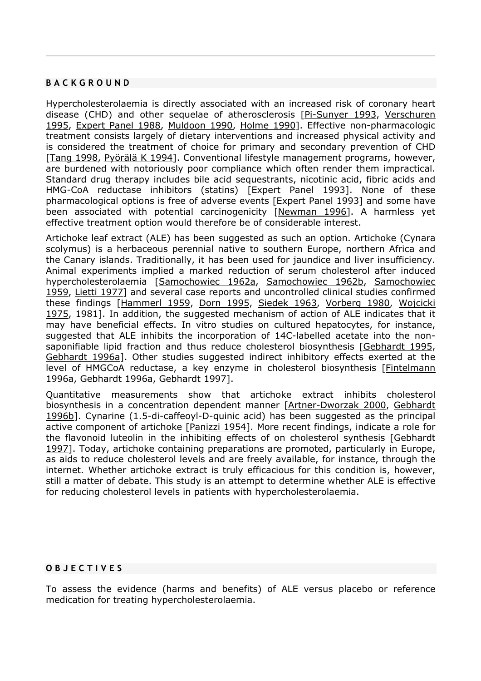### **BACKGROUND**

Hypercholesterolaemia is directly associated with an increased risk of coronary heart disease (CHD) and other sequelae of atherosclerosis [Pi-Sunyer 1993, Verschuren 1995, Expert Panel 1988, Muldoon 1990, Holme 1990]. Effective non-pharmacologic treatment consists largely of dietary interventions and increased physical activity and is considered the treatment of choice for primary and secondary prevention of CHD [Tang 1998, Pyörälä K 1994]. Conventional lifestyle management programs, however, are burdened with notoriously poor compliance which often render them impractical. Standard drug therapy includes bile acid sequestrants, nicotinic acid, fibric acids and HMG-CoA reductase inhibitors (statins) [Expert Panel 1993]. None of these pharmacological options is free of adverse events [Expert Panel 1993] and some have been associated with potential carcinogenicity [Newman 1996]. A harmless yet effective treatment option would therefore be of considerable interest.

Artichoke leaf extract (ALE) has been suggested as such an option. Artichoke (Cynara scolymus) is a herbaceous perennial native to southern Europe, northern Africa and the Canary islands. Traditionally, it has been used for jaundice and liver insufficiency. Animal experiments implied a marked reduction of serum cholesterol after induced hypercholesterolaemia [Samochowiec 1962a, Samochowiec 1962b, Samochowiec 1959, Lietti 1977] and several case reports and uncontrolled clinical studies confirmed these findings [Hammerl 1959, Dorn 1995, Siedek 1963, Vorberg 1980, Wojcicki 1975, 1981]. In addition, the suggested mechanism of action of ALE indicates that it may have beneficial effects. In vitro studies on cultured hepatocytes, for instance, suggested that ALE inhibits the incorporation of 14C-labelled acetate into the nonsaponifiable lipid fraction and thus reduce cholesterol biosynthesis [Gebhardt 1995, Gebhardt 1996a]. Other studies suggested indirect inhibitory effects exerted at the level of HMGCoA reductase, a key enzyme in cholesterol biosynthesis [Fintelmann 1996a, Gebhardt 1996a, Gebhardt 1997].

Quantitative measurements show that artichoke extract inhibits cholesterol biosynthesis in a concentration dependent manner [Artner-Dworzak 2000, Gebhardt 1996b]. Cynarine (1.5-di-caffeoyl-D-quinic acid) has been suggested as the principal active component of artichoke [Panizzi 1954]. More recent findings, indicate a role for the flavonoid luteolin in the inhibiting effects of on cholesterol synthesis [Gebhardt 1997]. Today, artichoke containing preparations are promoted, particularly in Europe, as aids to reduce cholesterol levels and are freely available, for instance, through the internet. Whether artichoke extract is truly efficacious for this condition is, however, still a matter of debate. This study is an attempt to determine whether ALE is effective for reducing cholesterol levels in patients with hypercholesterolaemia.

### **OBJECTIVES**

To assess the evidence (harms and benefits) of ALE versus placebo or reference medication for treating hypercholesterolaemia.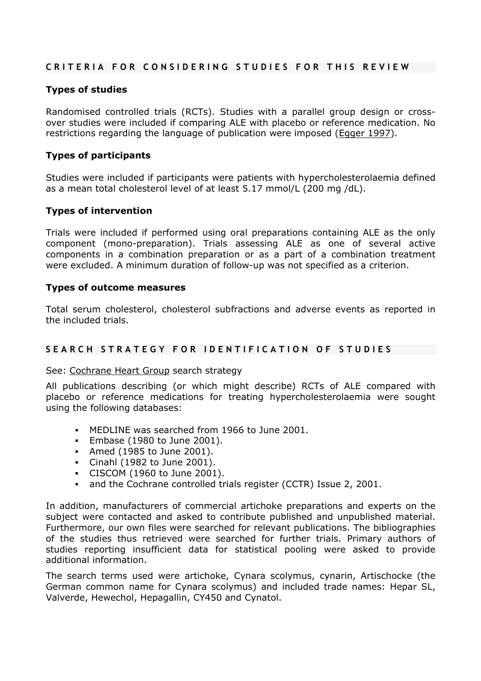# **CRITERIA FOR CONSIDERING STUDIES FOR THIS REVIEW**

# **Types of studies**

Randomised controlled trials (RCTs). Studies with a parallel group design or crossover studies were included if comparing ALE with placebo or reference medication. No restrictions regarding the language of publication were imposed (Egger 1997).

# **Types of participants**

Studies were included if participants were patients with hypercholesterolaemia defined as a mean total cholesterol level of at least 5.17 mmol/L (200 mg /dL).

# **Types of intervention**

Trials were included if performed using oral preparations containing ALE as the only component (mono-preparation). Trials assessing ALE as one of several active components in a combination preparation or as a part of a combination treatment were excluded. A minimum duration of follow-up was not specified as a criterion.

## **Types of outcome measures**

Total serum cholesterol, cholesterol subfractions and adverse events as reported in the included trials.

# **SEARCH STRATEGY FOR IDENTIFICATION OF STUDIES**

See: Cochrane Heart Group search strategy

All publications describing (or which might describe) RCTs of ALE compared with placebo or reference medications for treating hypercholesterolaemia were sought using the following databases:

- MEDLINE was searched from 1966 to June 2001.
- Embase (1980 to June 2001).
- Amed (1985 to June 2001).
- Cinahl (1982 to June 2001).
- CISCOM (1960 to June 2001).
- and the Cochrane controlled trials register (CCTR) Issue 2, 2001.

In addition, manufacturers of commercial artichoke preparations and experts on the subject were contacted and asked to contribute published and unpublished material. Furthermore, our own files were searched for relevant publications. The bibliographies of the studies thus retrieved were searched for further trials. Primary authors of studies reporting insufficient data for statistical pooling were asked to provide additional information.

The search terms used were artichoke, Cynara scolymus, cynarin, Artischocke (the German common name for Cynara scolymus) and included trade names: Hepar SL, Valverde, Hewechol, Hepagallin, CY450 and Cynatol.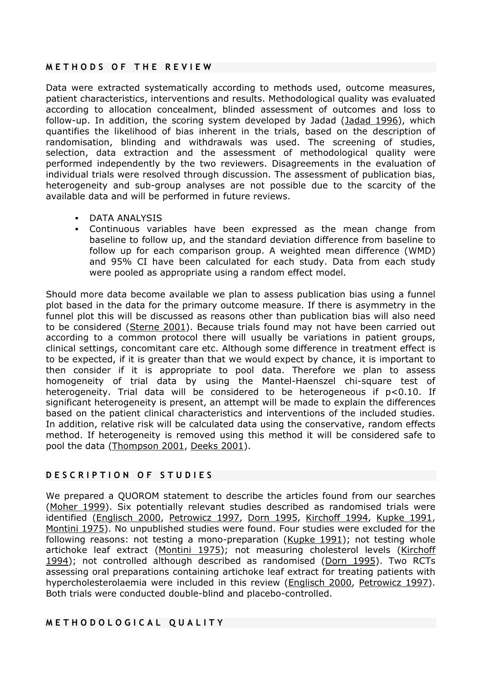### **METHODS OF THE REVIEW**

Data were extracted systematically according to methods used, outcome measures, patient characteristics, interventions and results. Methodological quality was evaluated according to allocation concealment, blinded assessment of outcomes and loss to follow-up. In addition, the scoring system developed by Jadad (Jadad 1996), which quantifies the likelihood of bias inherent in the trials, based on the description of randomisation, blinding and withdrawals was used. The screening of studies, selection, data extraction and the assessment of methodological quality were performed independently by the two reviewers. Disagreements in the evaluation of individual trials were resolved through discussion. The assessment of publication bias, heterogeneity and sub-group analyses are not possible due to the scarcity of the available data and will be performed in future reviews.

- DATA ANALYSIS
- Continuous variables have been expressed as the mean change from baseline to follow up, and the standard deviation difference from baseline to follow up for each comparison group. A weighted mean difference (WMD) and 95% CI have been calculated for each study. Data from each study were pooled as appropriate using a random effect model.

Should more data become available we plan to assess publication bias using a funnel plot based in the data for the primary outcome measure. If there is asymmetry in the funnel plot this will be discussed as reasons other than publication bias will also need to be considered (Sterne 2001). Because trials found may not have been carried out according to a common protocol there will usually be variations in patient groups, clinical settings, concomitant care etc. Although some difference in treatment effect is to be expected, if it is greater than that we would expect by chance, it is important to then consider if it is appropriate to pool data. Therefore we plan to assess homogeneity of trial data by using the Mantel-Haenszel chi-square test of heterogeneity. Trial data will be considered to be heterogeneous if p<0.10. If significant heterogeneity is present, an attempt will be made to explain the differences based on the patient clinical characteristics and interventions of the included studies. In addition, relative risk will be calculated data using the conservative, random effects method. If heterogeneity is removed using this method it will be considered safe to pool the data (Thompson 2001, Deeks 2001).

# **DESCRIPTION OF STUDIES**

We prepared a QUOROM statement to describe the articles found from our searches (Moher 1999). Six potentially relevant studies described as randomised trials were identified (Englisch 2000, Petrowicz 1997, Dorn 1995, Kirchoff 1994, Kupke 1991, Montini 1975). No unpublished studies were found. Four studies were excluded for the following reasons: not testing a mono-preparation (Kupke 1991); not testing whole artichoke leaf extract (Montini 1975); not measuring cholesterol levels (Kirchoff 1994); not controlled although described as randomised (Dorn 1995). Two RCTs assessing oral preparations containing artichoke leaf extract for treating patients with hypercholesterolaemia were included in this review (Englisch 2000, Petrowicz 1997). Both trials were conducted double-blind and placebo-controlled.

# **METHODOLOGICAL QUALITY**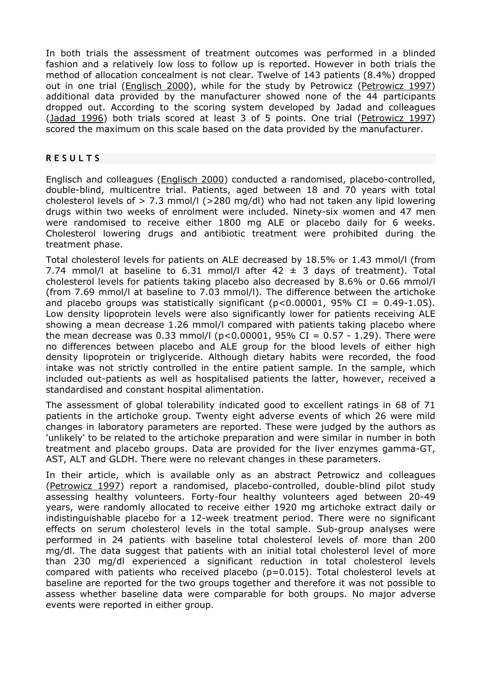In both trials the assessment of treatment outcomes was performed in a blinded fashion and a relatively low loss to follow up is reported. However in both trials the method of allocation concealment is not clear. Twelve of 143 patients (8.4%) dropped out in one trial (Englisch 2000), while for the study by Petrowicz (Petrowicz 1997) additional data provided by the manufacturer showed none of the 44 participants dropped out. According to the scoring system developed by Jadad and colleagues (Jadad 1996) both trials scored at least 3 of 5 points. One trial (Petrowicz 1997) scored the maximum on this scale based on the data provided by the manufacturer.

# **RESULTS**

Englisch and colleagues (Englisch 2000) conducted a randomised, placebo-controlled, double-blind, multicentre trial. Patients, aged between 18 and 70 years with total cholesterol levels of  $> 7.3$  mmol/l ( $> 280$  mg/dl) who had not taken any lipid lowering drugs within two weeks of enrolment were included. Ninety-six women and 47 men were randomised to receive either 1800 mg ALE or placebo daily for 6 weeks. Cholesterol lowering drugs and antibiotic treatment were prohibited during the treatment phase.

Total cholesterol levels for patients on ALE decreased by 18.5% or 1.43 mmol/l (from 7.74 mmol/l at baseline to 6.31 mmol/l after  $42 \pm 3$  days of treatment). Total cholesterol levels for patients taking placebo also decreased by 8.6% or 0.66 mmol/l (from 7.69 mmol/l at baseline to 7.03 mmol/l). The difference between the artichoke and placebo groups was statistically significant ( $p < 0.00001$ , 95% CI = 0.49-1.05). Low density lipoprotein levels were also significantly lower for patients receiving ALE showing a mean decrease 1.26 mmol/l compared with patients taking placebo where the mean decrease was 0.33 mmol/l ( $p$ <0.00001, 95% CI = 0.57 - 1.29). There were no differences between placebo and ALE group for the blood levels of either high density lipoprotein or triglyceride. Although dietary habits were recorded, the food intake was not strictly controlled in the entire patient sample. In the sample, which included out-patients as well as hospitalised patients the latter, however, received a standardised and constant hospital alimentation.

The assessment of global tolerability indicated good to excellent ratings in 68 of 71 patients in the artichoke group. Twenty eight adverse events of which 26 were mild changes in laboratory parameters are reported. These were judged by the authors as 'unlikely' to be related to the artichoke preparation and were similar in number in both treatment and placebo groups. Data are provided for the liver enzymes gamma-GT, AST, ALT and GLDH. There were no relevant changes in these parameters.

In their article, which is available only as an abstract Petrowicz and colleagues (Petrowicz 1997) report a randomised, placebo-controlled, double-blind pilot study assessing healthy volunteers. Forty-four healthy volunteers aged between 20-49 years, were randomly allocated to receive either 1920 mg artichoke extract daily or indistinguishable placebo for a 12-week treatment period. There were no significant effects on serum cholesterol levels in the total sample. Sub-group analyses were performed in 24 patients with baseline total cholesterol levels of more than 200 mg/dl. The data suggest that patients with an initial total cholesterol level of more than 230 mg/dl experienced a significant reduction in total cholesterol levels compared with patients who received placebo (p=0.015). Total cholesterol levels at baseline are reported for the two groups together and therefore it was not possible to assess whether baseline data were comparable for both groups. No major adverse events were reported in either group.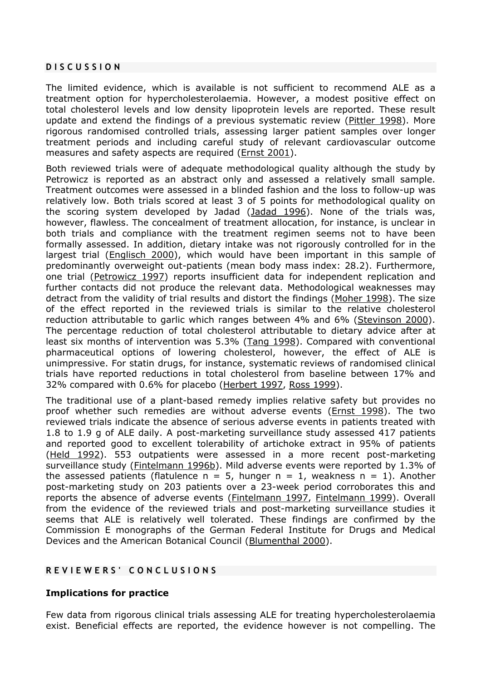### **DISCUSSION**

The limited evidence, which is available is not sufficient to recommend ALE as a treatment option for hypercholesterolaemia. However, a modest positive effect on total cholesterol levels and low density lipoprotein levels are reported. These result update and extend the findings of a previous systematic review (Pittler 1998). More rigorous randomised controlled trials, assessing larger patient samples over longer treatment periods and including careful study of relevant cardiovascular outcome measures and safety aspects are required (Ernst 2001).

Both reviewed trials were of adequate methodological quality although the study by Petrowicz is reported as an abstract only and assessed a relatively small sample. Treatment outcomes were assessed in a blinded fashion and the loss to follow-up was relatively low. Both trials scored at least 3 of 5 points for methodological quality on the scoring system developed by Jadad (Jadad 1996). None of the trials was, however, flawless. The concealment of treatment allocation, for instance, is unclear in both trials and compliance with the treatment regimen seems not to have been formally assessed. In addition, dietary intake was not rigorously controlled for in the largest trial (Englisch 2000), which would have been important in this sample of predominantly overweight out-patients (mean body mass index: 28.2). Furthermore, one trial (Petrowicz 1997) reports insufficient data for independent replication and further contacts did not produce the relevant data. Methodological weaknesses may detract from the validity of trial results and distort the findings (Moher 1998). The size of the effect reported in the reviewed trials is similar to the relative cholesterol reduction attributable to garlic which ranges between 4% and 6% (Stevinson 2000). The percentage reduction of total cholesterol attributable to dietary advice after at least six months of intervention was 5.3% (Tang 1998). Compared with conventional pharmaceutical options of lowering cholesterol, however, the effect of ALE is unimpressive. For statin drugs, for instance, systematic reviews of randomised clinical trials have reported reductions in total cholesterol from baseline between 17% and 32% compared with 0.6% for placebo (Herbert 1997, Ross 1999).

The traditional use of a plant-based remedy implies relative safety but provides no proof whether such remedies are without adverse events (Ernst 1998). The two reviewed trials indicate the absence of serious adverse events in patients treated with 1.8 to 1.9 g of ALE daily. A post-marketing surveillance study assessed 417 patients and reported good to excellent tolerability of artichoke extract in 95% of patients (Held 1992). 553 outpatients were assessed in a more recent post-marketing surveillance study (Fintelmann 1996b). Mild adverse events were reported by 1.3% of the assessed patients (flatulence  $n = 5$ , hunger  $n = 1$ , weakness  $n = 1$ ). Another post-marketing study on 203 patients over a 23-week period corroborates this and reports the absence of adverse events (Fintelmann 1997, Fintelmann 1999). Overall from the evidence of the reviewed trials and post-marketing surveillance studies it seems that ALE is relatively well tolerated. These findings are confirmed by the Commission E monographs of the German Federal Institute for Drugs and Medical Devices and the American Botanical Council (Blumenthal 2000).

# **REVIEWERS' CONCLUSIONS**

### **Implications for practice**

Few data from rigorous clinical trials assessing ALE for treating hypercholesterolaemia exist. Beneficial effects are reported, the evidence however is not compelling. The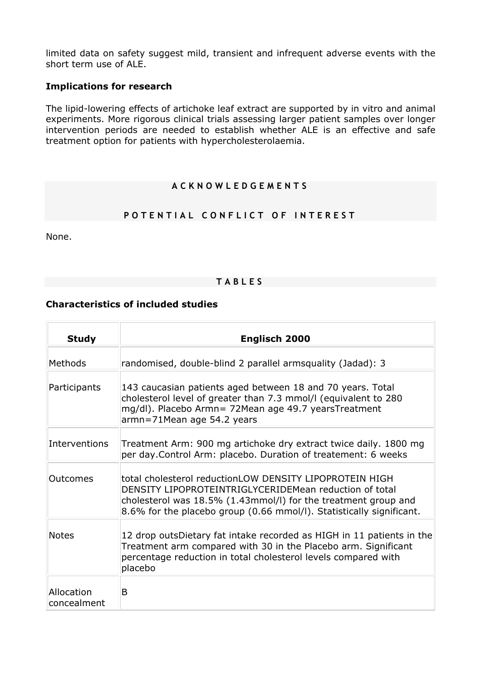limited data on safety suggest mild, transient and infrequent adverse events with the short term use of ALE.

# **Implications for research**

The lipid-lowering effects of artichoke leaf extract are supported by in vitro and animal experiments. More rigorous clinical trials assessing larger patient samples over longer intervention periods are needed to establish whether ALE is an effective and safe treatment option for patients with hypercholesterolaemia.

# **ACKNOWLEDGEMENTS**

# **POTENTIAL CONFLICT OF INTEREST**

None.

## **TABLES**

# **Characteristics of included studies**

| <b>Study</b>              | Englisch 2000                                                                                                                                                                                                                                                  |
|---------------------------|----------------------------------------------------------------------------------------------------------------------------------------------------------------------------------------------------------------------------------------------------------------|
| Methods                   | randomised, double-blind 2 parallel armsquality (Jadad): 3                                                                                                                                                                                                     |
| Participants              | 143 caucasian patients aged between 18 and 70 years. Total<br>cholesterol level of greater than 7.3 mmol/l (equivalent to 280<br>mg/dl). Placebo Armn= 72Mean age 49.7 yearsTreatment<br>armn=71Mean age 54.2 years                                            |
| Interventions             | Treatment Arm: 900 mg artichoke dry extract twice daily. 1800 mg<br>per day. Control Arm: placebo. Duration of treatement: 6 weeks                                                                                                                             |
| Outcomes                  | total cholesterol reductionLOW DENSITY LIPOPROTEIN HIGH<br>DENSITY LIPOPROTEINTRIGLYCERIDEMean reduction of total<br>cholesterol was $18.5\%$ (1.43mmol/l) for the treatment group and<br>8.6% for the placebo group (0.66 mmol/l). Statistically significant. |
| <b>Notes</b>              | 12 drop outsDietary fat intake recorded as HIGH in 11 patients in the<br>Treatment arm compared with 30 in the Placebo arm. Significant<br>percentage reduction in total cholesterol levels compared with<br>placebo                                           |
| Allocation<br>concealment | B                                                                                                                                                                                                                                                              |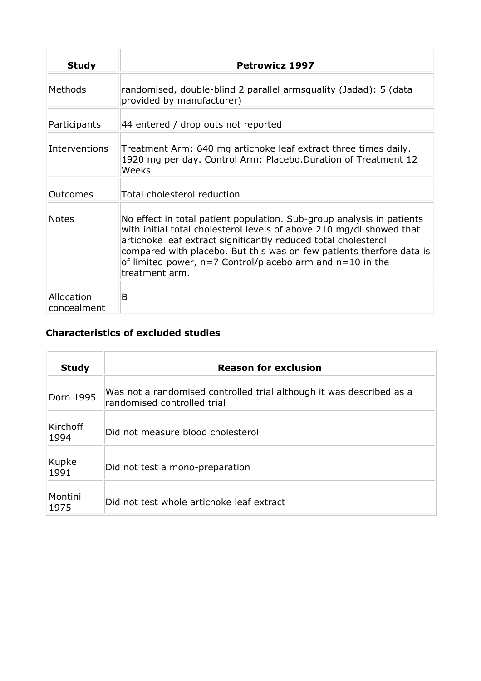| <b>Study</b>              | <b>Petrowicz 1997</b>                                                                                                                                                                                                                                                                                                                                                      |
|---------------------------|----------------------------------------------------------------------------------------------------------------------------------------------------------------------------------------------------------------------------------------------------------------------------------------------------------------------------------------------------------------------------|
| <b>Methods</b>            | randomised, double-blind 2 parallel armsquality (Jadad): 5 (data<br>provided by manufacturer)                                                                                                                                                                                                                                                                              |
| Participants              | 44 entered / drop outs not reported                                                                                                                                                                                                                                                                                                                                        |
| Interventions             | Treatment Arm: 640 mg artichoke leaf extract three times daily.<br>1920 mg per day. Control Arm: Placebo.Duration of Treatment 12<br>Weeks                                                                                                                                                                                                                                 |
| Outcomes                  | Total cholesterol reduction                                                                                                                                                                                                                                                                                                                                                |
| <b>Notes</b>              | No effect in total patient population. Sub-group analysis in patients<br>with initial total cholesterol levels of above 210 mg/dl showed that<br>artichoke leaf extract significantly reduced total cholesterol<br>compared with placebo. But this was on few patients therfore data is<br>of limited power, $n=7$ Control/placebo arm and $n=10$ in the<br>treatment arm. |
| Allocation<br>concealment | B                                                                                                                                                                                                                                                                                                                                                                          |

# **Characteristics of excluded studies**

| <b>Study</b>            | <b>Reason for exclusion</b>                                                                         |  |  |
|-------------------------|-----------------------------------------------------------------------------------------------------|--|--|
| Dorn 1995               | Was not a randomised controlled trial although it was described as a<br>randomised controlled trial |  |  |
| <b>Kirchoff</b><br>1994 | Did not measure blood cholesterol                                                                   |  |  |
| Kupke<br>1991           | Did not test a mono-preparation                                                                     |  |  |
| Montini<br>1975         | Did not test whole artichoke leaf extract                                                           |  |  |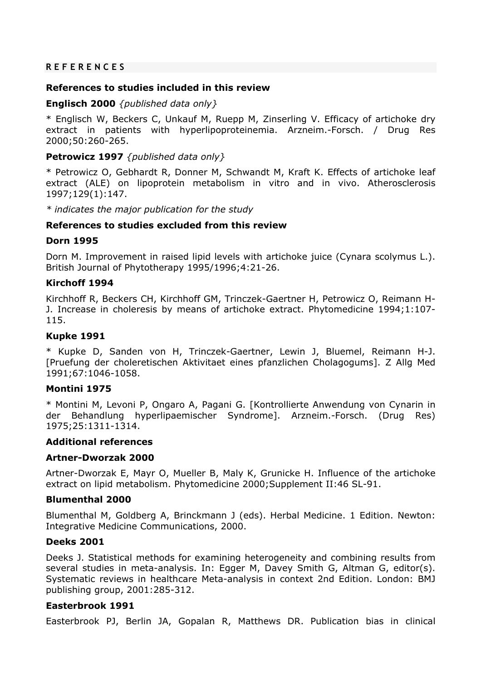## **REFERENCES**

### **References to studies included in this review**

# **Englisch 2000** *{published data only}*

\* Englisch W, Beckers C, Unkauf M, Ruepp M, Zinserling V. Efficacy of artichoke dry extract in patients with hyperlipoproteinemia. Arzneim.-Forsch. / Drug Res 2000;50:260-265.

### **Petrowicz 1997** *{published data only}*

\* Petrowicz O, Gebhardt R, Donner M, Schwandt M, Kraft K. Effects of artichoke leaf extract (ALE) on lipoprotein metabolism in vitro and in vivo. Atherosclerosis 1997;129(1):147.

*\* indicates the major publication for the study*

## **References to studies excluded from this review**

### **Dorn 1995**

Dorn M. Improvement in raised lipid levels with artichoke juice (Cynara scolymus L.). British Journal of Phytotherapy 1995/1996;4:21-26.

## **Kirchoff 1994**

Kirchhoff R, Beckers CH, Kirchhoff GM, Trinczek-Gaertner H, Petrowicz O, Reimann H-J. Increase in choleresis by means of artichoke extract. Phytomedicine 1994;1:107- 115.

### **Kupke 1991**

\* Kupke D, Sanden von H, Trinczek-Gaertner, Lewin J, Bluemel, Reimann H-J. [Pruefung der choleretischen Aktivitaet eines pfanzlichen Cholagogums]. Z Allg Med 1991;67:1046-1058.

### **Montini 1975**

\* Montini M, Levoni P, Ongaro A, Pagani G. [Kontrollierte Anwendung von Cynarin in der Behandlung hyperlipaemischer Syndrome]. Arzneim.-Forsch. (Drug Res) 1975;25:1311-1314.

### **Additional references**

# **Artner-Dworzak 2000**

Artner-Dworzak E, Mayr O, Mueller B, Maly K, Grunicke H. Influence of the artichoke extract on lipid metabolism. Phytomedicine 2000; Supplement II:46 SL-91.

### **Blumenthal 2000**

Blumenthal M, Goldberg A, Brinckmann J (eds). Herbal Medicine. 1 Edition. Newton: Integrative Medicine Communications, 2000.

### **Deeks 2001**

Deeks J. Statistical methods for examining heterogeneity and combining results from several studies in meta-analysis. In: Egger M, Davey Smith G, Altman G, editor(s). Systematic reviews in healthcare Meta-analysis in context 2nd Edition. London: BMJ publishing group, 2001:285-312.

### **Easterbrook 1991**

Easterbrook PJ, Berlin JA, Gopalan R, Matthews DR. Publication bias in clinical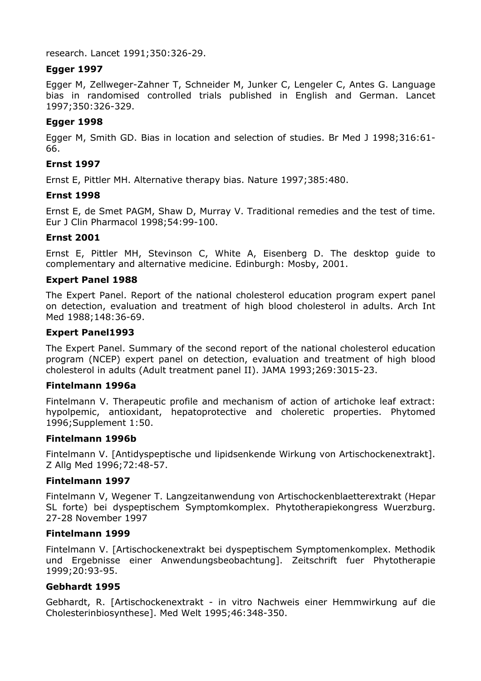research. Lancet 1991;350:326-29.

# **Egger 1997**

Egger M, Zellweger-Zahner T, Schneider M, Junker C, Lengeler C, Antes G. Language bias in randomised controlled trials published in English and German. Lancet 1997;350:326-329.

# **Egger 1998**

Egger M, Smith GD. Bias in location and selection of studies. Br Med J 1998;316:61- 66.

# **Ernst 1997**

Ernst E, Pittler MH. Alternative therapy bias. Nature 1997;385:480.

## **Ernst 1998**

Ernst E, de Smet PAGM, Shaw D, Murray V. Traditional remedies and the test of time. Eur J Clin Pharmacol 1998;54:99-100.

## **Ernst 2001**

Ernst E, Pittler MH, Stevinson C, White A, Eisenberg D. The desktop guide to complementary and alternative medicine. Edinburgh: Mosby, 2001.

### **Expert Panel 1988**

The Expert Panel. Report of the national cholesterol education program expert panel on detection, evaluation and treatment of high blood cholesterol in adults. Arch Int Med 1988;148:36-69.

## **Expert Panel1993**

The Expert Panel. Summary of the second report of the national cholesterol education program (NCEP) expert panel on detection, evaluation and treatment of high blood cholesterol in adults (Adult treatment panel II). JAMA 1993;269:3015-23.

### **Fintelmann 1996a**

Fintelmann V. Therapeutic profile and mechanism of action of artichoke leaf extract: hypolpemic, antioxidant, hepatoprotective and choleretic properties. Phytomed 1996;Supplement 1:50.

### **Fintelmann 1996b**

Fintelmann V. [Antidyspeptische und lipidsenkende Wirkung von Artischockenextrakt]. Z Allg Med 1996;72:48-57.

### **Fintelmann 1997**

Fintelmann V, Wegener T. Langzeitanwendung von Artischockenblaetterextrakt (Hepar SL forte) bei dyspeptischem Symptomkomplex. Phytotherapiekongress Wuerzburg. 27-28 November 1997

### **Fintelmann 1999**

Fintelmann V. [Artischockenextrakt bei dyspeptischem Symptomenkomplex. Methodik und Ergebnisse einer Anwendungsbeobachtung]. Zeitschrift fuer Phytotherapie 1999;20:93-95.

# **Gebhardt 1995**

Gebhardt, R. [Artischockenextrakt - in vitro Nachweis einer Hemmwirkung auf die Cholesterinbiosynthese]. Med Welt 1995;46:348-350.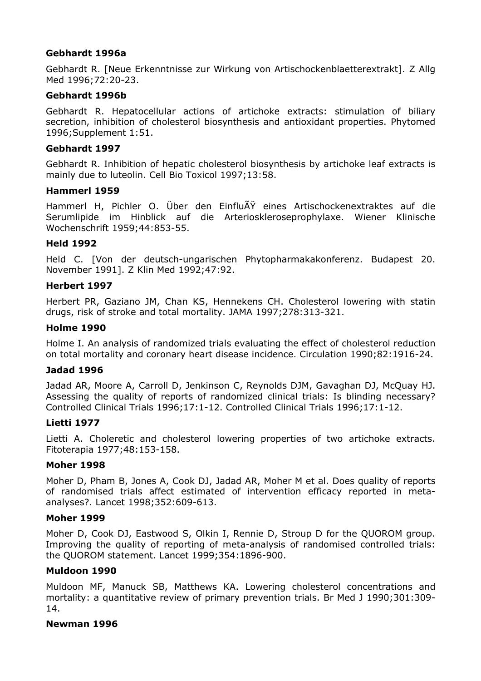# **Gebhardt 1996a**

Gebhardt R. [Neue Erkenntnisse zur Wirkung von Artischockenblaetterextrakt]. Z Allg Med 1996;72:20-23.

### **Gebhardt 1996b**

Gebhardt R. Hepatocellular actions of artichoke extracts: stimulation of biliary secretion, inhibition of cholesterol biosynthesis and antioxidant properties. Phytomed 1996;Supplement 1:51.

### **Gebhardt 1997**

Gebhardt R. Inhibition of hepatic cholesterol biosynthesis by artichoke leaf extracts is mainly due to luteolin. Cell Bio Toxicol 1997;13:58.

### **Hammerl 1959**

Hammerl H, Pichler O. Über den Einflu $\tilde{A}Y$  eines Artischockenextraktes auf die Serumlipide im Hinblick auf die Arterioskleroseprophylaxe. Wiener Klinische Wochenschrift 1959;44:853-55.

## **Held 1992**

Held C. [Von der deutsch-ungarischen Phytopharmakakonferenz. Budapest 20. November 1991]. Z Klin Med 1992;47:92.

## **Herbert 1997**

Herbert PR, Gaziano JM, Chan KS, Hennekens CH. Cholesterol lowering with statin drugs, risk of stroke and total mortality. JAMA 1997;278:313-321.

## **Holme 1990**

Holme I. An analysis of randomized trials evaluating the effect of cholesterol reduction on total mortality and coronary heart disease incidence. Circulation 1990;82:1916-24.

### **Jadad 1996**

Jadad AR, Moore A, Carroll D, Jenkinson C, Reynolds DJM, Gavaghan DJ, McQuay HJ. Assessing the quality of reports of randomized clinical trials: Is blinding necessary? Controlled Clinical Trials 1996;17:1-12. Controlled Clinical Trials 1996;17:1-12.

### **Lietti 1977**

Lietti A. Choleretic and cholesterol lowering properties of two artichoke extracts. Fitoterapia 1977;48:153-158.

### **Moher 1998**

Moher D, Pham B, Jones A, Cook DJ, Jadad AR, Moher M et al. Does quality of reports of randomised trials affect estimated of intervention efficacy reported in metaanalyses?. Lancet 1998;352:609-613.

### **Moher 1999**

Moher D, Cook DJ, Eastwood S, Olkin I, Rennie D, Stroup D for the QUOROM group. Improving the quality of reporting of meta-analysis of randomised controlled trials: the QUOROM statement. Lancet 1999;354:1896-900.

# **Muldoon 1990**

Muldoon MF, Manuck SB, Matthews KA. Lowering cholesterol concentrations and mortality: a quantitative review of primary prevention trials. Br Med J 1990;301:309- 14.

### **Newman 1996**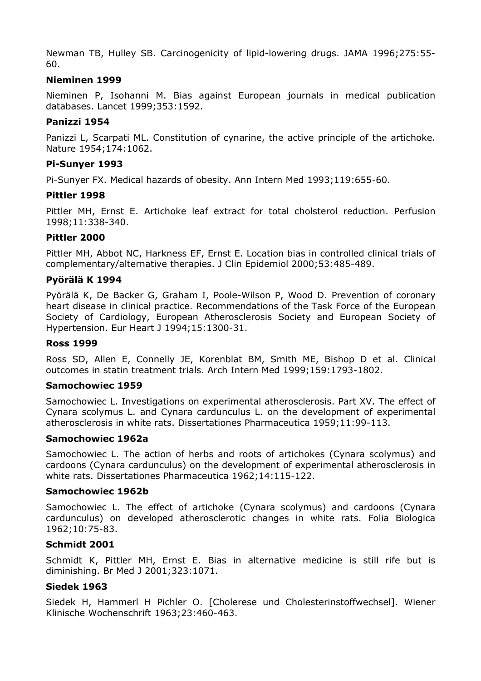Newman TB, Hulley SB. Carcinogenicity of lipid-lowering drugs. JAMA 1996;275:55- 60.

# **Nieminen 1999**

Nieminen P, Isohanni M. Bias against European journals in medical publication databases. Lancet 1999;353:1592.

### **Panizzi 1954**

Panizzi L, Scarpati ML. Constitution of cynarine, the active principle of the artichoke. Nature 1954;174:1062.

## **Pi-Sunyer 1993**

Pi-Sunyer FX. Medical hazards of obesity. Ann Intern Med 1993;119:655-60.

### **Pittler 1998**

Pittler MH, Ernst E. Artichoke leaf extract for total cholsterol reduction. Perfusion 1998;11:338-340.

### **Pittler 2000**

Pittler MH, Abbot NC, Harkness EF, Ernst E. Location bias in controlled clinical trials of complementary/alternative therapies. J Clin Epidemiol 2000;53:485-489.

## **Pyörälä K 1994**

Pyörälä K, De Backer G, Graham I, Poole-Wilson P, Wood D. Prevention of coronary heart disease in clinical practice. Recommendations of the Task Force of the European Society of Cardiology, European Atherosclerosis Society and European Society of Hypertension. Eur Heart J 1994;15:1300-31.

### **Ross 1999**

Ross SD, Allen E, Connelly JE, Korenblat BM, Smith ME, Bishop D et al. Clinical outcomes in statin treatment trials. Arch Intern Med 1999;159:1793-1802.

### **Samochowiec 1959**

Samochowiec L. Investigations on experimental atherosclerosis. Part XV. The effect of Cynara scolymus L. and Cynara cardunculus L. on the development of experimental atherosclerosis in white rats. Dissertationes Pharmaceutica 1959;11:99-113.

### **Samochowiec 1962a**

Samochowiec L. The action of herbs and roots of artichokes (Cynara scolymus) and cardoons (Cynara cardunculus) on the development of experimental atherosclerosis in white rats. Dissertationes Pharmaceutica 1962;14:115-122.

### **Samochowiec 1962b**

Samochowiec L. The effect of artichoke (Cynara scolymus) and cardoons (Cynara cardunculus) on developed atherosclerotic changes in white rats. Folia Biologica 1962;10:75-83.

# **Schmidt 2001**

Schmidt K, Pittler MH, Ernst E. Bias in alternative medicine is still rife but is diminishing. Br Med J 2001;323:1071.

# **Siedek 1963**

Siedek H, Hammerl H Pichler O. [Cholerese und Cholesterinstoffwechsel]. Wiener Klinische Wochenschrift 1963;23:460-463.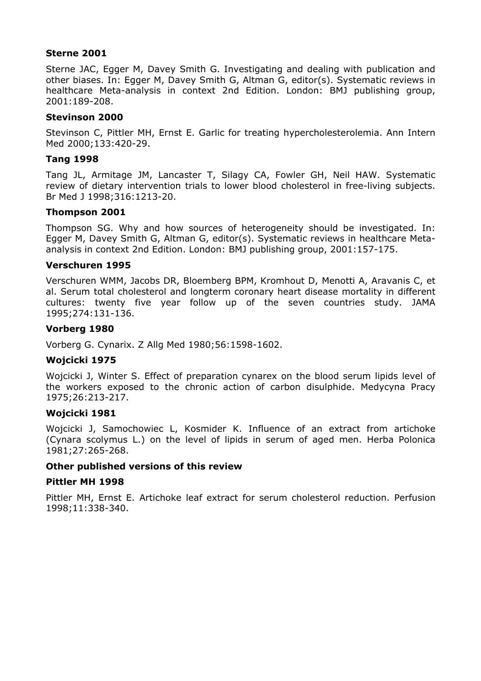### **Sterne 2001**

Sterne JAC, Egger M, Davey Smith G. Investigating and dealing with publication and other biases. In: Egger M, Davey Smith G, Altman G, editor(s). Systematic reviews in healthcare Meta-analysis in context 2nd Edition. London: BMJ publishing group, 2001:189-208.

# **Stevinson 2000**

Stevinson C, Pittler MH, Ernst E. Garlic for treating hypercholesterolemia. Ann Intern Med 2000;133:420-29.

# **Tang 1998**

Tang JL, Armitage JM, Lancaster T, Silagy CA, Fowler GH, Neil HAW. Systematic review of dietary intervention trials to lower blood cholesterol in free-living subjects. Br Med J 1998;316:1213-20.

## **Thompson 2001**

Thompson SG. Why and how sources of heterogeneity should be investigated. In: Egger M, Davey Smith G, Altman G, editor(s). Systematic reviews in healthcare Metaanalysis in context 2nd Edition. London: BMJ publishing group, 2001:157-175.

### **Verschuren 1995**

Verschuren WMM, Jacobs DR, Bloemberg BPM, Kromhout D, Menotti A, Aravanis C, et al. Serum total cholesterol and longterm coronary heart disease mortality in different cultures: twenty five year follow up of the seven countries study. JAMA 1995;274:131-136.

## **Vorberg 1980**

Vorberg G. Cynarix. Z Allg Med 1980;56:1598-1602.

### **Wojcicki 1975**

Wojcicki J, Winter S. Effect of preparation cynarex on the blood serum lipids level of the workers exposed to the chronic action of carbon disulphide. Medycyna Pracy 1975;26:213-217.

### **Wojcicki 1981**

Wojcicki J, Samochowiec L, Kosmider K. Influence of an extract from artichoke (Cynara scolymus L.) on the level of lipids in serum of aged men. Herba Polonica 1981;27:265-268.

# **Other published versions of this review**

### **Pittler MH 1998**

Pittler MH, Ernst E. Artichoke leaf extract for serum cholesterol reduction. Perfusion 1998;11:338-340.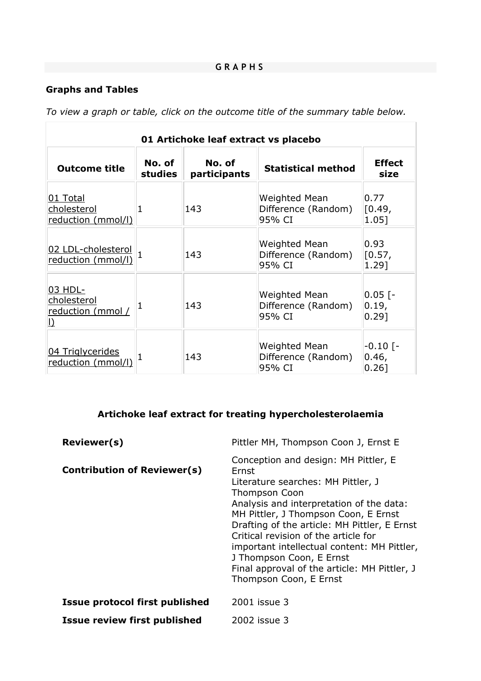$\overline{\phantom{a}}$ 

# **Graphs and Tables**

*To view a graph or table, click on the outcome title of the summary table below.*

| 01 Artichoke leaf extract vs placebo                     |                   |                        |                                                |                                                |  |
|----------------------------------------------------------|-------------------|------------------------|------------------------------------------------|------------------------------------------------|--|
| <b>Outcome title</b>                                     | No. of<br>studies | No. of<br>participants | <b>Statistical method</b>                      | <b>Effect</b><br>size                          |  |
| 01 Total<br>cholesterol<br>reduction (mmol/l)            | 1                 | 143                    | Weighted Mean<br>Difference (Random)<br>95% CI | 0.77<br>[0.49,<br>1.05]                        |  |
| 02 LDL-cholesterol<br>reduction (mmol/l)                 |                   | 143                    | Weighted Mean<br>Difference (Random)<br>95% CI | 0.93<br>[0.57,<br>1.29]                        |  |
| 03 HDL-<br>cholesterol<br>reduction (mmol /<br><u> }</u> | 1                 | 143                    | Weighted Mean<br>Difference (Random)<br>95% CI | $0.05$ [-<br>0.19,<br>$0.29$ ]                 |  |
| 04 Triglycerides<br>reduction (mmol/l)                   | 1                 | 143                    | Weighted Mean<br>Difference (Random)<br>95% CI | $-0.10$ $\lceil - \rceil$<br>0.46,<br>$0.26$ ] |  |

# **Artichoke leaf extract for treating hypercholesterolaemia**

| Reviewer(s)                         | Pittler MH, Thompson Coon J, Ernst E                                                                                                                                                                                                                                                                                                                                                                                                         |
|-------------------------------------|----------------------------------------------------------------------------------------------------------------------------------------------------------------------------------------------------------------------------------------------------------------------------------------------------------------------------------------------------------------------------------------------------------------------------------------------|
| <b>Contribution of Reviewer(s)</b>  | Conception and design: MH Pittler, E<br>Frnst<br>Literature searches: MH Pittler, J<br><b>Thompson Coon</b><br>Analysis and interpretation of the data:<br>MH Pittler, J Thompson Coon, E Ernst<br>Drafting of the article: MH Pittler, E Ernst<br>Critical revision of the article for<br>important intellectual content: MH Pittler,<br>J Thompson Coon, E Ernst<br>Final approval of the article: MH Pittler, J<br>Thompson Coon, E Ernst |
| Issue protocol first published      | 2001 issue 3                                                                                                                                                                                                                                                                                                                                                                                                                                 |
| <b>Issue review first published</b> | 2002 issue 3                                                                                                                                                                                                                                                                                                                                                                                                                                 |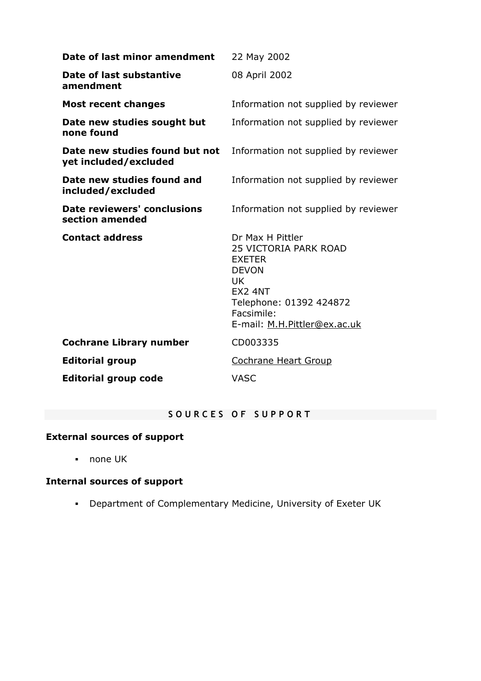| Date of last minor amendment                            | 22 May 2002                                                                                                                                                                               |  |  |
|---------------------------------------------------------|-------------------------------------------------------------------------------------------------------------------------------------------------------------------------------------------|--|--|
| Date of last substantive<br>amendment                   | 08 April 2002                                                                                                                                                                             |  |  |
| <b>Most recent changes</b>                              | Information not supplied by reviewer                                                                                                                                                      |  |  |
| Date new studies sought but<br>none found               | Information not supplied by reviewer                                                                                                                                                      |  |  |
| Date new studies found but not<br>yet included/excluded | Information not supplied by reviewer                                                                                                                                                      |  |  |
| Date new studies found and<br>included/excluded         | Information not supplied by reviewer                                                                                                                                                      |  |  |
| <b>Date reviewers' conclusions</b><br>section amended   | Information not supplied by reviewer                                                                                                                                                      |  |  |
| <b>Contact address</b>                                  | Dr Max H Pittler<br><b>25 VICTORIA PARK ROAD</b><br><b>EXETER</b><br><b>DEVON</b><br><b>UK</b><br><b>EX2 4NT</b><br>Telephone: 01392 424872<br>Facsimile:<br>E-mail: M.H.Pittler@ex.ac.uk |  |  |
| <b>Cochrane Library number</b>                          | CD003335                                                                                                                                                                                  |  |  |
| <b>Editorial group</b>                                  | <b>Cochrane Heart Group</b>                                                                                                                                                               |  |  |
| <b>Editorial group code</b>                             | <b>VASC</b>                                                                                                                                                                               |  |  |

# **SOURCES OF SUPPORT**

# **External sources of support**

none UK

# **Internal sources of support**

Department of Complementary Medicine, University of Exeter UK